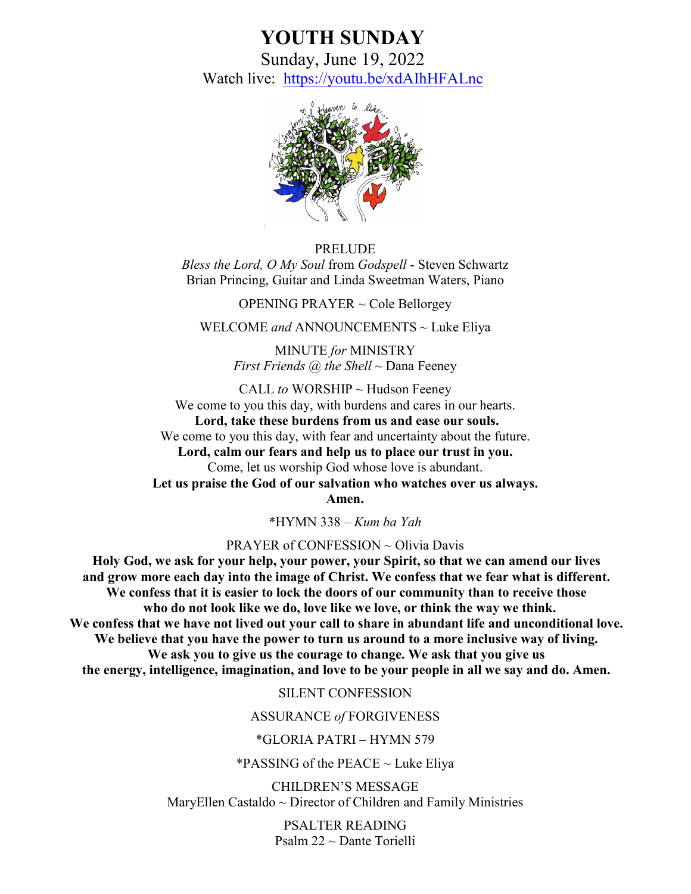# **YOUTH SUNDAY**

Sunday, June 19, 2022 Watch live: [https://youtu.be/xdAIhHFALnc](about:blank)



## PRELUDE *Bless the Lord, O My Soul* from *Godspell* - Steven Schwartz Brian Princing, Guitar and Linda Sweetman Waters, Piano

OPENING PRAYER ~ Cole Bellorgey

WELCOME *and* ANNOUNCEMENTS ~ Luke Eliya

MINUTE *for* MINISTRY *First Friends @ the Shell ~* Dana Feeney

CALL *to* WORSHIP ~ Hudson Feeney We come to you this day, with burdens and cares in our hearts. **Lord, take these burdens from us and ease our souls.**  We come to you this day, with fear and uncertainty about the future. **Lord, calm our fears and help us to place our trust in you.** Come, let us worship God whose love is abundant. **Let us praise the God of our salvation who watches over us always. Amen.**

\*HYMN 338 – *Kum ba Yah* 

#### PRAYER of CONFESSION  $\sim$  Olivia Davis

**Holy God, we ask for your help, your power, your Spirit, so that we can amend our lives and grow more each day into the image of Christ. We confess that we fear what is different. We confess that it is easier to lock the doors of our community than to receive those who do not look like we do, love like we love, or think the way we think. We confess that we have not lived out your call to share in abundant life and unconditional love. We believe that you have the power to turn us around to a more inclusive way of living. We ask you to give us the courage to change. We ask that you give us the energy, intelligence, imagination, and love to be your people in all we say and do. Amen.** 

SILENT CONFESSION

ASSURANCE *of* FORGIVENESS

#### \*GLORIA PATRI – HYMN 579

\*PASSING of the  $PEACE \sim$  Luke Eliya

CHILDREN'S MESSAGE MaryEllen Castaldo  $\sim$  Director of Children and Family Ministries

> PSALTER READING Psalm 22 ~ Dante Torielli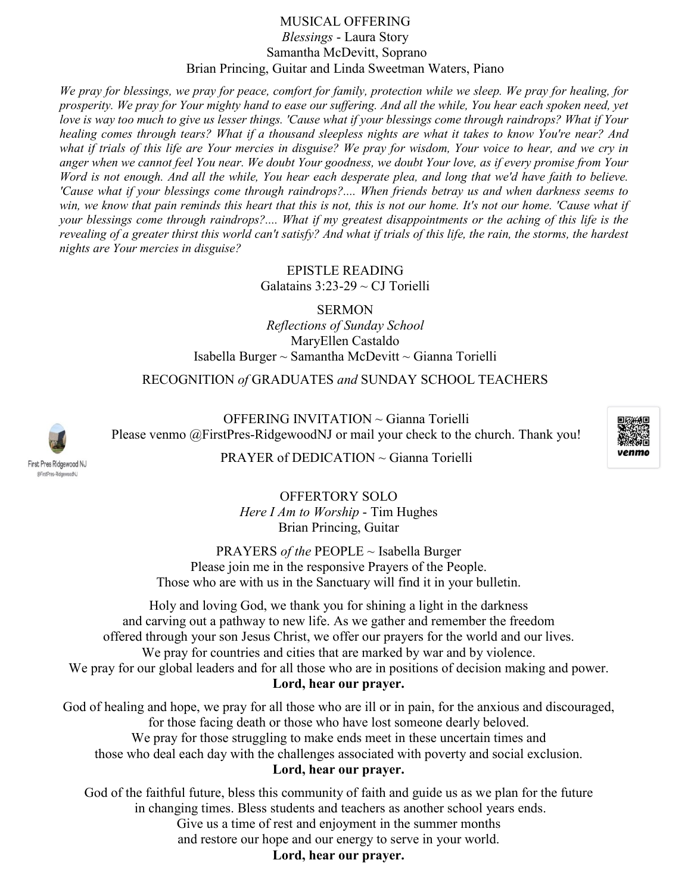## MUSICAL OFFERING *Blessings* - Laura Story Samantha McDevitt, Soprano Brian Princing, Guitar and Linda Sweetman Waters, Piano

*We pray for blessings, we pray for peace, comfort for family, protection while we sleep. We pray for healing, for prosperity. We pray for Your mighty hand to ease our suffering. And all the while, You hear each spoken need, yet love is way too much to give us lesser things. 'Cause what if your blessings come through raindrops? What if Your healing comes through tears? What if a thousand sleepless nights are what it takes to know You're near? And what if trials of this life are Your mercies in disguise? We pray for wisdom, Your voice to hear, and we cry in anger when we cannot feel You near. We doubt Your goodness, we doubt Your love, as if every promise from Your Word is not enough. And all the while, You hear each desperate plea, and long that we'd have faith to believe. 'Cause what if your blessings come through raindrops?.... When friends betray us and when darkness seems to*  win, we know that pain reminds this heart that this is not, this is not our home. It's not our home. 'Cause what if *your blessings come through raindrops?.... What if my greatest disappointments or the aching of this life is the revealing of a greater thirst this world can't satisfy? And what if trials of this life, the rain, the storms, the hardest nights are Your mercies in disguise?*

> EPISTLE READING Galatains  $3:23-29 \sim CJ$  Torielli

SERMON *Reflections of Sunday School*  MaryEllen Castaldo Isabella Burger ~ Samantha McDevitt ~ Gianna Torielli

RECOGNITION *of* GRADUATES *and* SUNDAY SCHOOL TEACHERS

OFFERING INVITATION ~ Gianna Torielli Please venmo @FirstPres-RidgewoodNJ or mail your check to the church. Thank you!



First Pres Ridgewood NJ @FirstPres-RidgewoodNJ

PRAYER of DEDICATION ~ Gianna Torielli

OFFERTORY SOLO *Here I Am to Worship* - Tim Hughes Brian Princing, Guitar

PRAYERS *of the* PEOPLE ~ Isabella Burger Please join me in the responsive Prayers of the People. Those who are with us in the Sanctuary will find it in your bulletin.

Holy and loving God, we thank you for shining a light in the darkness and carving out a pathway to new life. As we gather and remember the freedom offered through your son Jesus Christ, we offer our prayers for the world and our lives. We pray for countries and cities that are marked by war and by violence. We pray for our global leaders and for all those who are in positions of decision making and power. **Lord, hear our prayer.**

God of healing and hope, we pray for all those who are ill or in pain, for the anxious and discouraged, for those facing death or those who have lost someone dearly beloved. We pray for those struggling to make ends meet in these uncertain times and those who deal each day with the challenges associated with poverty and social exclusion.

## **Lord, hear our prayer.**

God of the faithful future, bless this community of faith and guide us as we plan for the future in changing times. Bless students and teachers as another school years ends. Give us a time of rest and enjoyment in the summer months and restore our hope and our energy to serve in your world.

## **Lord, hear our prayer.**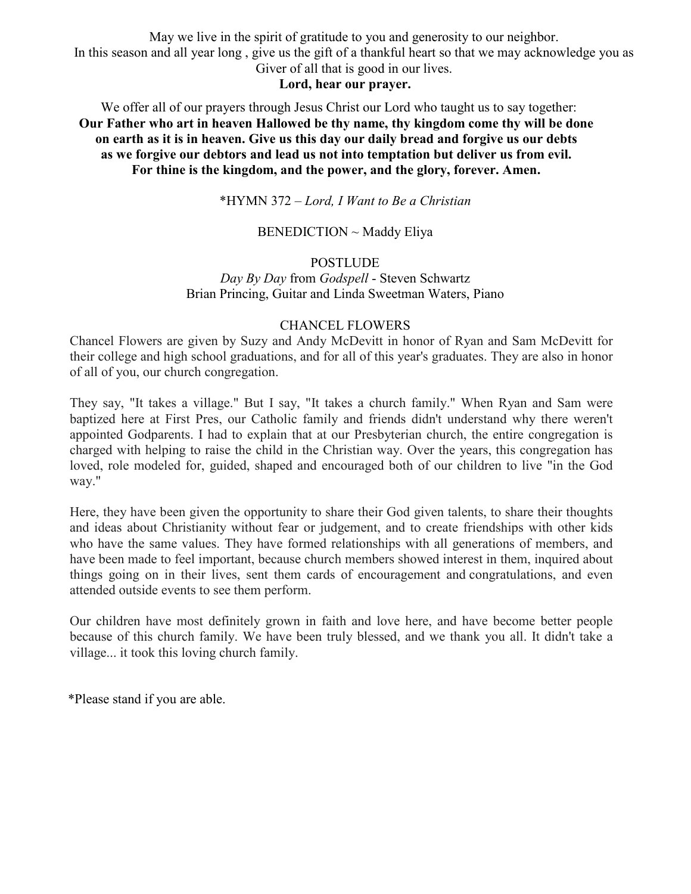May we live in the spirit of gratitude to you and generosity to our neighbor. In this season and all year long , give us the gift of a thankful heart so that we may acknowledge you as Giver of all that is good in our lives.

**Lord, hear our prayer.** 

We offer all of our prayers through Jesus Christ our Lord who taught us to say together: **Our Father who art in heaven Hallowed be thy name, thy kingdom come thy will be done on earth as it is in heaven. Give us this day our daily bread and forgive us our debts as we forgive our debtors and lead us not into temptation but deliver us from evil. For thine is the kingdom, and the power, and the glory, forever. Amen.** 

\*HYMN 372 – *Lord, I Want to Be a Christian*

## BENEDICTION ~ Maddy Eliya

## POSTLUDE

## *Day By Day* from *Godspell* - Steven Schwartz Brian Princing, Guitar and Linda Sweetman Waters, Piano

## CHANCEL FLOWERS

Chancel Flowers are given by Suzy and Andy McDevitt in honor of Ryan and Sam McDevitt for their college and high school graduations, and for all of this year's graduates. They are also in honor of all of you, our church congregation.

They say, "It takes a village." But I say, "It takes a church family." When Ryan and Sam were baptized here at First Pres, our Catholic family and friends didn't understand why there weren't appointed Godparents. I had to explain that at our Presbyterian church, the entire congregation is charged with helping to raise the child in the Christian way. Over the years, this congregation has loved, role modeled for, guided, shaped and encouraged both of our children to live "in the God way."

Here, they have been given the opportunity to share their God given talents, to share their thoughts and ideas about Christianity without fear or judgement, and to create friendships with other kids who have the same values. They have formed relationships with all generations of members, and have been made to feel important, because church members showed interest in them, inquired about things going on in their lives, sent them cards of encouragement and congratulations, and even attended outside events to see them perform.

Our children have most definitely grown in faith and love here, and have become better people because of this church family. We have been truly blessed, and we thank you all. It didn't take a village... it took this loving church family.

\*Please stand if you are able.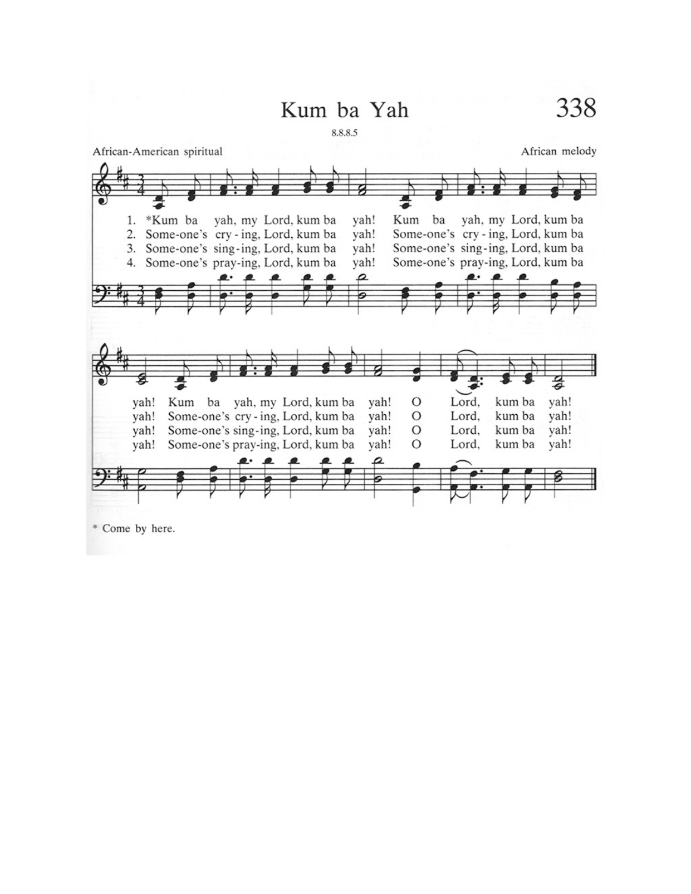Kum ba Yah



\* Come by here.